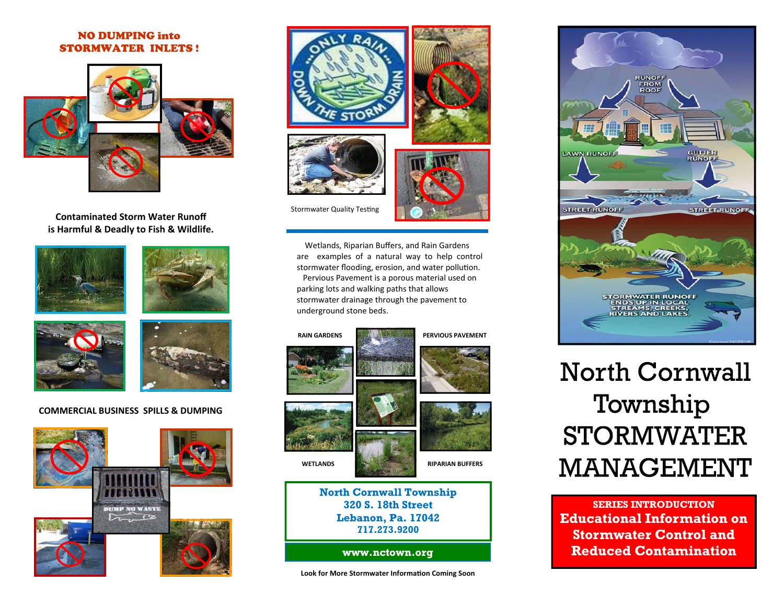### NO DUMPING into STORMWATER INLETS !



**Contaminated Storm Water Runoff is Harmful & Deadly to Fish & Wildlife.**









### **COMMERCIAL BUSINESS SPILLS & DUMPING**





Wetlands, Riparian Buffers, and Rain Gardens are examples of <sup>a</sup> natural way to help control stormwater flooding, erosion, and water pollution. Pervious Pavement is <sup>a</sup> porous material used on parking lots and walking paths that allows stormwater drainage through the pavement to underground stone beds.





## **Lebanon, Pa. 17042 717.273.9200**

**www.nctown.org** 

**Look for More Stormwater InformaƟon Coming Soon**



# **North Cornwall** Township **STORMWATER MANAGEMENT**

**SERIES INTRODUCTION Educational Information on Stormwater Control and Reduced Contamination**